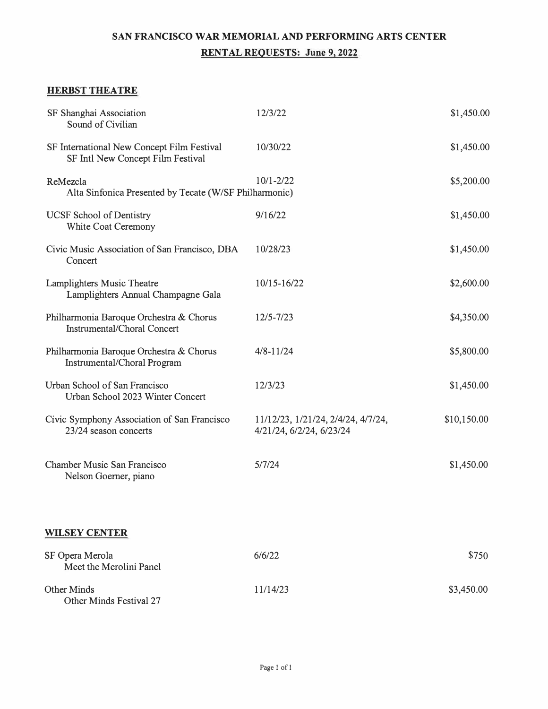# **SAN FRANCISCO WAR MEMORIAL AND PERFORMING ARTS CENTER RENT AL REQUESTS: June 9, 2022**

### **HERBST THEATRE**

| SF Shanghai Association<br>Sound of Civilian                                    | 12/3/22                                                        | \$1,450.00  |
|---------------------------------------------------------------------------------|----------------------------------------------------------------|-------------|
| SF International New Concept Film Festival<br>SF Intl New Concept Film Festival | 10/30/22                                                       | \$1,450.00  |
| ReMezcla<br>Alta Sinfonica Presented by Tecate (W/SF Philharmonic)              | $10/1 - 2/22$                                                  | \$5,200.00  |
| <b>UCSF</b> School of Dentistry<br>White Coat Ceremony                          | 9/16/22                                                        | \$1,450.00  |
| Civic Music Association of San Francisco, DBA<br>Concert                        | 10/28/23                                                       | \$1,450.00  |
| Lamplighters Music Theatre<br>Lamplighters Annual Champagne Gala                | 10/15-16/22                                                    | \$2,600.00  |
| Philharmonia Baroque Orchestra & Chorus<br><b>Instrumental/Choral Concert</b>   | 12/5-7/23                                                      | \$4,350.00  |
| Philharmonia Baroque Orchestra & Chorus<br>Instrumental/Choral Program          | $4/8 - 11/24$                                                  | \$5,800.00  |
| Urban School of San Francisco<br>Urban School 2023 Winter Concert               | 12/3/23                                                        | \$1,450.00  |
| Civic Symphony Association of San Francisco<br>23/24 season concerts            | 11/12/23, 1/21/24, 2/4/24, 4/7/24,<br>4/21/24, 6/2/24, 6/23/24 | \$10,150.00 |
| Chamber Music San Francisco<br>Nelson Goerner, piano                            | 5/7/24                                                         | \$1,450.00  |
| <b>WILSEY CENTER</b>                                                            |                                                                |             |
| SF Opera Merola<br>Meet the Merolini Panel                                      | 6/6/22                                                         | \$750       |
| <b>Other Minds</b><br>Other Minds Festival 27                                   | 11/14/23                                                       | \$3,450.00  |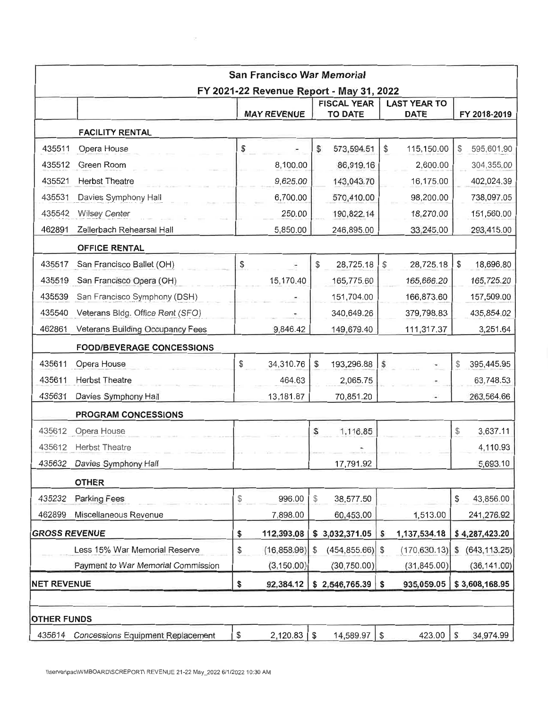|                      |                                    | San Francisco War Memorial                                     |                                                            |                                    |                    |
|----------------------|------------------------------------|----------------------------------------------------------------|------------------------------------------------------------|------------------------------------|--------------------|
|                      |                                    | FY 2021-22 Revenue Report - May 31, 2022<br><b>MAY REVENUE</b> | <b>FISCAL YEAR</b><br><b>TO DATE</b>                       | <b>LAST YEAR TO</b><br><b>DATE</b> | FY 2018-2019       |
|                      | <b>FACILITY RENTAL</b>             |                                                                |                                                            |                                    |                    |
| 435511               | Opera House                        | \$                                                             | \$<br>573,594.51                                           | \$<br>115,150.00                   | 595,601.90<br>\$   |
| 435512               | Green Room                         | 8,100.00                                                       | 86,919.16                                                  | 2,600.00                           | 304,355.00         |
| 435521               | <b>Herbst Theatre</b>              | 9,625.00                                                       | 143,043.70                                                 | 16,175.00                          | 402,024.39         |
| 435531               | Davies Symphony Hall               | 6,700.00                                                       | 570,410.00                                                 | 98,200.00                          | 738,097.05         |
| 435542               | <b>Wilsey Center</b>               | 250.00                                                         | 190,822.14                                                 | 18,270.00                          | 151,560.00         |
| 462891               | Zellerbach Rehearsal Hall          | 5,850.00                                                       | 246,895.00                                                 | 33,245.00                          | 293,415.00         |
|                      | <b>OFFICE RENTAL</b>               |                                                                |                                                            |                                    |                    |
| 435517               | San Francisco Ballet (OH)          | \$                                                             | $\, \, \raisebox{12pt}{$\scriptstyle \circ$}$<br>28,725.18 | \$<br>28,725.18                    | \$<br>18,696.80    |
| 435519               | San Francisco Opera (OH)           | 15,170.40                                                      | 165,775.60                                                 | 165,666.20                         | 165,725.20         |
| 435539               | San Francisco Symphony (DSH)       |                                                                | 151,704.00                                                 | 166,873.60                         | 157,509.00         |
| 435540               | Veterans Bldg. Office Rent (SFO)   |                                                                | 340,649.26                                                 | 379,798.83                         | 435,854.02         |
| 462861               | Veterans Building Occupancy Fees   | 9,846.42                                                       | 149,679.40                                                 | 111,317.37                         | 3,251.64           |
|                      | <b>FOOD/BEVERAGE CONCESSIONS</b>   |                                                                |                                                            |                                    |                    |
| 435611               | Opera House                        | \$<br>34,310.76                                                | \$<br>193,296.88                                           | S                                  | 395,445.95<br>\$   |
| 435611               | <b>Herbst Theatre</b>              | 464.63                                                         | 2,065.75                                                   |                                    | 63,748.53          |
| 435631               | Davies Symphony Hall               | 13,181.87                                                      | 70,851.20                                                  | ٠                                  | 263,564.66         |
|                      | <b>PROGRAM CONCESSIONS</b>         |                                                                |                                                            |                                    |                    |
| 435612               | Opera House                        |                                                                | $\mathbb{S}$<br>1,116.85                                   |                                    | \$<br>3,637.11     |
| 435612               | <b>Herbst Theatre</b>              |                                                                |                                                            |                                    | 4,110.93           |
| 435632               | Davies Symphony Hall               |                                                                | 17,791.92                                                  |                                    | 5,693.10           |
|                      | <b>OTHER</b>                       |                                                                |                                                            |                                    |                    |
| 435232               | <b>Parking Fees</b>                | \$<br>996.00                                                   | \$<br>38,577.50                                            |                                    | 43,856.00<br>\$    |
| 462899               | Miscellaneous Revenue              | 7,898.00                                                       | 60,453.00                                                  | 1,513.00                           | 241,276.92         |
| <b>GROSS REVENUE</b> |                                    | \$<br>112,393.08                                               | 3,032,371.05<br>\$                                         | \$<br>1,137,534.18                 | \$4,287,423.20     |
|                      | Less 15% War Memorial Reserve      | \$<br>(16,858.96)                                              | (454, 855.66)<br>\$                                        | (170, 630.13)<br>$\sqrt{5}$        | (643, 113.25)<br>S |
|                      | Payment to War Memorial Commission | (3, 150.00)                                                    | (30, 750.00)                                               | (31, 845.00)                       | (36, 141.00)       |
| <b>NET REVENUE</b>   |                                    | \$<br>92,384.12                                                | \$2,546,765.39                                             | \$<br>935,059.05                   | \$3,608,168.95     |
| <b>OTHER FUNDS</b>   |                                    |                                                                |                                                            |                                    |                    |
| 435614               | Concessions Equipment Replacement  | \$<br>2,120.83                                                 | \$<br>14,589.97                                            | \$<br>423.00                       | 34,974.99<br>S     |

 $\sim 10^{11}$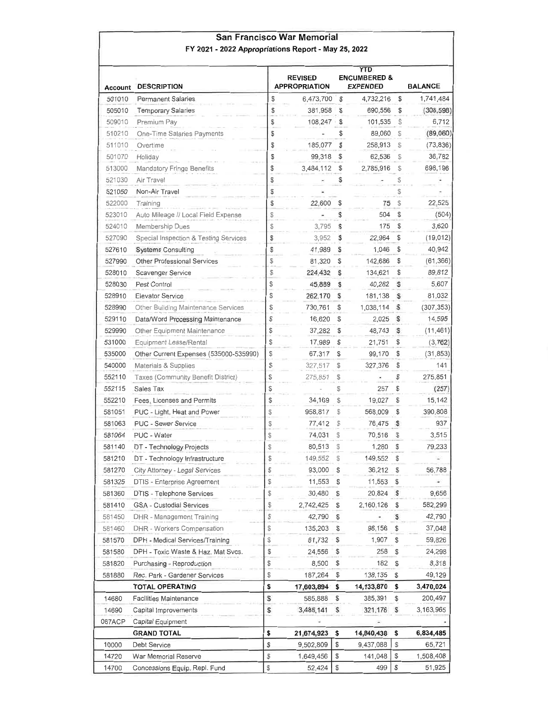### San Francisco War Memorial FY 2021 - 2022 Appropriations Report - May 25, 2022

| Account | <b>DESCRIPTION</b>                     |               | <b>REVISED</b><br><b>APPROPRIATION</b> |              | YTD<br><b>ENCUMBERED &amp;</b><br><b>EXPENDED</b> |               | <b>BALANCE</b> |
|---------|----------------------------------------|---------------|----------------------------------------|--------------|---------------------------------------------------|---------------|----------------|
| 501010  | <b>Permanent Salaries</b>              | \$            | 6,473,700                              | \$           | 4,732,216                                         | \$            | 1,741,484      |
| 505010  | <b>Temporary Salaries</b>              | \$            | 381,958                                | \$           | 690,556                                           | \$            | (308, 598)     |
| 509010  | Premium Pay                            | \$            | 108,247                                | \$           | 101,535                                           | \$            | 6,712          |
| 510210  | One-Time Salaries Payments             | \$            |                                        | \$           | 89,060                                            | \$            | (89,060)       |
| 511010  | Overtime                               | \$            | 185,077                                | S            | 258,913                                           | S             | (73,836)       |
| 501070  | Holiday                                | \$            | 99,318                                 | \$           | 62,536                                            | S             | 36,782         |
| 513000  | Mandatory Fringe Benefits              | \$            | 3,484,112                              | \$           | 2,785,916                                         | \$            | 698,196        |
| 521030  | Air Travel                             | \$            |                                        | \$           |                                                   | \$            |                |
| 521050  | Non-Air Travel                         | \$            |                                        |              |                                                   | \$            |                |
| 522000  | Training                               | \$            | 22,600                                 | \$           | 75                                                | \$            | 22,525         |
| 523010  | Auto Mileage // Local Field Expense    | \$            |                                        |              | 504                                               | \$            | (504)          |
| 524010  | Membership Dues                        | \$            | 3,795                                  | S            | 175                                               | \$            | 3,620          |
| 527090  | Special Inspection & Testing Services  | \$            | 3,952                                  | \$           | 22,964                                            | \$            | (19, 012)      |
| 527610  | <b>Systems Consulting</b>              | \$            | 41,989                                 | s            | 1,046                                             | S             | 40,942         |
| 527990  | Other Professional Services            | \$            | 81,320                                 | \$           | 142,686                                           | \$            | (61, 366)      |
| 528010  | Scavenger Service                      | \$            | 224,432                                | s            | 134,621                                           | \$            | 89,812         |
| 528030  | Pest Control                           | \$            | 45,889                                 | \$           | 40,282                                            | s             | 5,607          |
| 528910  | <b>Elevator Service</b>                | \$            | 262,170                                | S            | 181,138                                           | S             | 81,032         |
| 528990  | Other Building Maintenance Services    | \$            | 730,761                                | \$           | 1,038,114                                         | S             | (307, 353)     |
| 529110  | Data/Word Processing Maintenance       | \$            | 16,620                                 | \$           | 2,025                                             | S             | 14,595         |
| 529990  | Other Equipment Maintenance            | \$            | 37,282                                 | \$           | 48,743                                            | S             | (11, 461)      |
| 531000  | Equipment Lease/Rental                 | \$            | 17,989                                 | \$           | 21,751                                            | \$            | (3,762)        |
| 535000  | Other Current Expenses (535000-535990) | $\mathbb{S}$  | 67,317                                 | S            | 99,170                                            | \$            | (31, 853)      |
| 540000  | Materials & Supplies                   | $\mathcal{L}$ | 327,517                                | \$           | 327,376                                           | \$            | 141            |
| 552110  | Taxes (Community Benefit District)     | \$            | 275,851                                | \$           |                                                   | \$            | 275,851        |
| 552115  | Sales Tax                              | \$            |                                        | \$           | 257                                               | \$            | (257)          |
| 552210  | Fees, Licenses and Permits             | \$            | 34,169                                 | S            | 19,027                                            | S             | 15,142         |
| 581051  | PUC - Light, Heat and Power            | \$            |                                        | \$           |                                                   | \$            | 390,808        |
| 581063  | <b>PUC - Sewer Service</b>             | \$            | 958,817                                |              | 568,009                                           |               | 937            |
|         |                                        |               | 77,412                                 | S            | 76,475                                            | S             |                |
| 581064  | PUC - Water                            | \$            | 74,031                                 | S            | 70,516                                            | \$            | 3,515          |
| 581140  | DT - Technology Projects               | \$            | 80,513                                 | \$           | 1,280                                             | \$            | 79,233         |
| 581210  | DT - Technology Infrastructure         | \$            | 149,552                                | S            | 149,552                                           | \$            |                |
| 581270  | City Attorney - Legal Services         | \$            | 93,000 \$                              |              | 36,212                                            | \$            | 56,788         |
| 581325  | DTIS - Enterprise Agreement            | \$            | 11,553                                 | \$           | 11,553                                            | \$            | $\sim$         |
| 581360  | DTIS - Telephone Services              | \$            | 30,480                                 | \$           | 20,824                                            | s             | 9,656          |
| 581410  | <b>GSA - Custodial Services</b>        | \$            | 2,742,425                              | \$           | 2,160,126                                         | \$            | 582,299        |
| 581450  | DHR - Management Training              | \$            | 42,790                                 | \$           |                                                   | S             | 42,790         |
| 581460  | DHR - Workers Compensation             | \$            | 135,203                                | \$           | 98,156                                            | \$            | 37,048         |
| 581570  | DPH - Medical Services/Training        | \$            | 61,732                                 | \$           | 1,907                                             | \$            | 59,826         |
| 581580  | DPH - Toxic Waste & Haz. Mat Svcs.     | \$            | 24,556                                 | \$           | 258                                               | \$            | 24,298         |
| 581820  | Purchasing - Reproduction              | \$            | 8,500                                  | \$           | 182                                               | \$            | 8,318          |
| 581880  | Rec. Park - Gardener Services          | \$            | 187,264                                | \$           | 138,135                                           | \$            | 49,129         |
|         | TOTAL OPERATING                        | \$            | 17,603,894                             | \$           | 14,133,870                                        | \$            | 3,470,024      |
| 14680   | Facilities Maintenance                 | S             | 585,888                                | \$           | 385,391                                           | \$            | 200,497        |
| 14690   | Capital Improvements                   | \$            | 3,485,141                              | S            | 321,176                                           | $\mathbb{S}$  | 3,163,965      |
| 067ACP  | Capital Equipment                      |               |                                        |              |                                                   |               |                |
|         | <b>GRAND TOTAL</b>                     | \$            | 21,674,923                             | \$           | 14,840,438                                        | \$            | 6,834,485      |
| 10000   | Debt Service                           | \$            | 9,502,809                              | \$           | 9,437,088                                         | \$            | 65,721         |
| 14720   | War Memorial Reserve                   | \$            | 1,649,456                              | \$           | 141,048                                           | \$            | 1,508,408      |
| 14700   | Concessions Equip. Repl. Fund          | $\mathbb{S}$  | 52,424                                 | $\mathbb{S}$ | 499                                               | $\mathfrak s$ | 51,925         |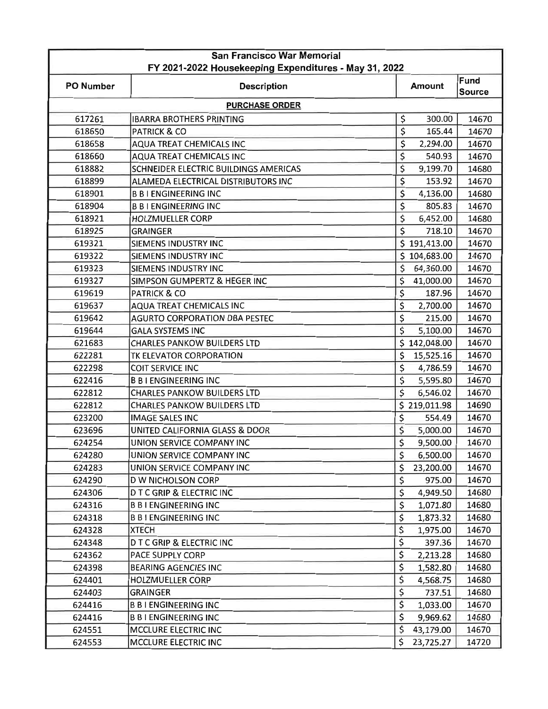| San Francisco War Memorial<br>FY 2021-2022 Housekeeping Expenditures - May 31, 2022 |                                       |                      |              |                              |  |
|-------------------------------------------------------------------------------------|---------------------------------------|----------------------|--------------|------------------------------|--|
| <b>PO Number</b>                                                                    | <b>Description</b>                    | <b>Amount</b>        |              | <b>Fund</b><br><b>Source</b> |  |
|                                                                                     | <b>PURCHASE ORDER</b>                 |                      |              |                              |  |
| 617261                                                                              | <b>IBARRA BROTHERS PRINTING</b>       | \$                   | 300.00       | 14670                        |  |
| 618650                                                                              | <b>PATRICK &amp; CO</b>               | \$                   | 165.44       | 14670                        |  |
| 618658                                                                              | AQUA TREAT CHEMICALS INC              | \$                   | 2,294.00     | 14670                        |  |
| 618660                                                                              | AQUA TREAT CHEMICALS INC              | \$                   | 540.93       | 14670                        |  |
| 618882                                                                              | SCHNEIDER ELECTRIC BUILDINGS AMERICAS | \$                   | 9,199.70     | 14680                        |  |
| 618899                                                                              | ALAMEDA ELECTRICAL DISTRIBUTORS INC   | \$                   | 153.92       | 14670                        |  |
| 618901                                                                              | <b>B B I ENGINEERING INC</b>          | \$                   | 4,136.00     | 14680                        |  |
| 618904                                                                              | <b>B B I ENGINEERING INC</b>          | \$                   | 805.83       | 14670                        |  |
| 618921                                                                              | <b>HOLZMUELLER CORP</b>               | \$                   | 6,452.00     | 14680                        |  |
| 618925                                                                              | <b>GRAINGER</b>                       | \$                   | 718.10       | 14670                        |  |
| 619321                                                                              | <b>SIEMENS INDUSTRY INC</b>           |                      | \$191,413.00 | 14670                        |  |
| 619322                                                                              | SIEMENS INDUSTRY INC                  |                      | \$104,683.00 | 14670                        |  |
| 619323                                                                              | SIEMENS INDUSTRY INC                  | \$                   | 64,360.00    | 14670                        |  |
| 619327                                                                              | SIMPSON GUMPERTZ & HEGER INC          | \$                   | 41,000.00    | 14670                        |  |
| 619619                                                                              | <b>PATRICK &amp; CO</b>               | \$                   | 187.96       | 14670                        |  |
| 619637                                                                              | AQUA TREAT CHEMICALS INC              | \$                   | 2,700.00     | 14670                        |  |
| 619642                                                                              | <b>AGURTO CORPORATION DBA PESTEC</b>  | \$                   | 215.00       | 14670                        |  |
| 619644                                                                              | <b>GALA SYSTEMS INC</b>               | \$                   | 5,100.00     | 14670                        |  |
| 621683                                                                              | <b>CHARLES PANKOW BUILDERS LTD</b>    |                      | \$142,048.00 | 14670                        |  |
| 622281                                                                              | TK ELEVATOR CORPORATION               | \$                   | 15,525.16    | 14670                        |  |
| 622298                                                                              | <b>COIT SERVICE INC</b>               | \$                   | 4,786.59     | 14670                        |  |
| 622416                                                                              | <b>B B I ENGINEERING INC</b>          | \$                   | 5,595.80     | 14670                        |  |
| 622812                                                                              | <b>CHARLES PANKOW BUILDERS LTD</b>    | \$                   | 6,546.02     | 14670                        |  |
| 622812                                                                              | <b>CHARLES PANKOW BUILDERS LTD</b>    |                      | \$219,011.98 | 14690                        |  |
| 623200                                                                              | <b>IMAGE SALES INC</b>                | \$                   | 554.49       | 14670                        |  |
| 623696                                                                              | UNITED CALIFORNIA GLASS & DOOR        | \$                   | 5,000.00     | 14670                        |  |
| 624254                                                                              | UNION SERVICE COMPANY INC             | \$                   | 9,500.00     | 14670                        |  |
| 624280                                                                              | UNION SERVICE COMPANY INC             | \$                   | 6,500.00     | 14670                        |  |
| 624283                                                                              | UNION SERVICE COMPANY INC             | \$                   | 23,200.00    | 14670                        |  |
| 624290                                                                              | <b>D W NICHOLSON CORP</b>             | \$                   | 975.00       | 14670                        |  |
| 624306                                                                              | <b>DTCGRIP &amp; ELECTRIC INC</b>     | \$                   | 4,949.50     | 14680                        |  |
| 624316                                                                              | <b>B B I ENGINEERING INC</b>          | \$                   | 1,071.80     | 14680                        |  |
| 624318                                                                              | <b>B B I ENGINEERING INC</b>          | \$                   | 1,873.32     | 14680                        |  |
| 624328                                                                              | <b>XTECH</b>                          | \$                   | 1,975.00     | 14670                        |  |
| 624348                                                                              | <b>DTCGRIP &amp; ELECTRIC INC</b>     | $\boldsymbol{\zeta}$ | 397.36       | 14670                        |  |
| 624362                                                                              | PACE SUPPLY CORP                      | \$                   | 2,213.28     | 14680                        |  |
| 624398                                                                              | <b>BEARING AGENCIES INC</b>           | \$                   | 1,582.80     | 14680                        |  |
| 624401                                                                              | <b>HOLZMUELLER CORP</b>               | \$                   | 4,568.75     | 14680                        |  |
| 624403                                                                              | <b>GRAINGER</b>                       | \$                   | 737.51       | 14680                        |  |
| 624416                                                                              | <b>B B I ENGINEERING INC</b>          | \$                   | 1,033.00     | 14670                        |  |
| 624416                                                                              | <b>B B I ENGINEERING INC</b>          | \$                   | 9,969.62     | 14680                        |  |
| 624551                                                                              | MCCLURE ELECTRIC INC                  | \$                   | 43,179.00    | 14670                        |  |
| 624553                                                                              | MCCLURE ELECTRIC INC                  | \$                   | 23,725.27    | 14720                        |  |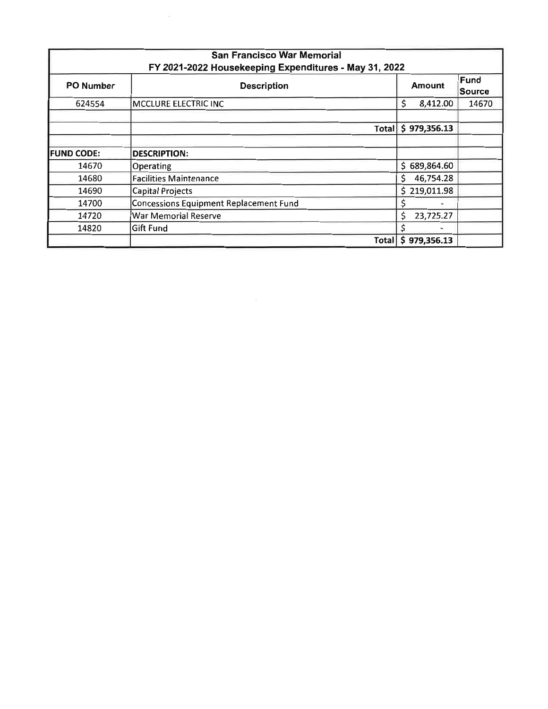|                   | <b>San Francisco War Memorial</b><br>FY 2021-2022 Housekeeping Expenditures - May 31, 2022 |                    |                |
|-------------------|--------------------------------------------------------------------------------------------|--------------------|----------------|
| <b>PO Number</b>  | <b>Description</b>                                                                         | <b>Amount</b>      | Fund<br>Source |
| 624554            | <b>MCCLURE ELECTRIC INC</b>                                                                | \$<br>8,412.00     | 14670          |
|                   |                                                                                            | Total \$979,356.13 |                |
| <b>FUND CODE:</b> | <b>DESCRIPTION:</b>                                                                        |                    |                |
| 14670             | <b>Operating</b>                                                                           | \$689,864.60       |                |
| 14680             | <b>Facilities Maintenance</b>                                                              | \$<br>46,754.28    |                |
| 14690             | Capital Projects                                                                           | \$219,011.98       |                |
| 14700             | <b>Concessions Equipment Replacement Fund</b>                                              | \$                 |                |
| 14720             | <b>War Memorial Reserve</b>                                                                | \$<br>23,725.27    |                |
| 14820             | Gift Fund                                                                                  | \$                 |                |
|                   | Totall                                                                                     | \$979,356.13       |                |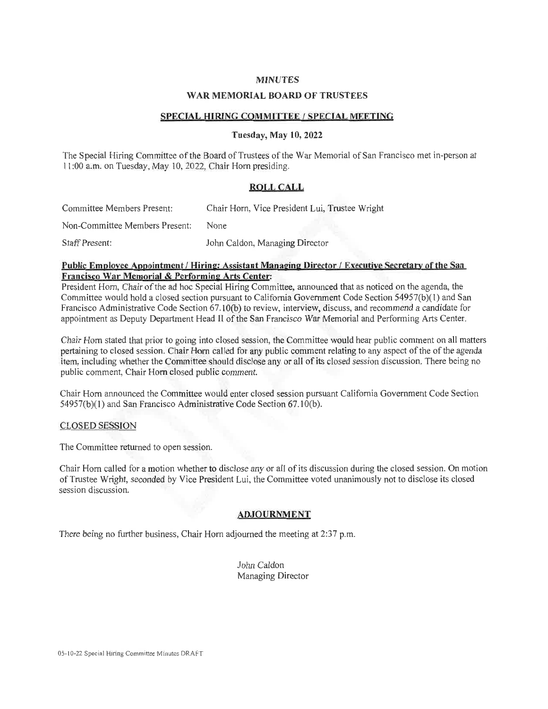#### **MINUTES**

#### **WAR MEMORIAL BOARD OF TRUSTEES**

#### SPECIAL HIRING COMMITTEE / SPECIAL MEETING

#### **Tuesday, May 10, 2022**

The Special Hiring Committee of the Board of Trustees of the War Memorial of San Francisco met in-person at 11:00 a.m. on Tuesday, May 10, 2022, Chair Horn presiding.

#### **ROLL CALL**

| Committee Members Present:     | Chair Horn, Vice President Lui, Trustee Wright |
|--------------------------------|------------------------------------------------|
| Non-Committee Members Present: | None                                           |
| <b>Staff Present:</b>          | John Caldon, Managing Director                 |

#### Public Employee Appointment / Hiring: Assistant Managing Director / Executive Secretary of the San Francisco War Memorial & Performing Arts Center:

President Horn, Chair of the ad hoc Special Hiring Committee, announced that as noticed on the agenda, the Committee would hold a closed section pursuant to California Government Code Section 54957(b)(1) and San Francisco Administrative Code Section 67.10(b) to review, interview, discuss, and recommend a candidate for appointment as Deputy Department Head II of the San Francisco War Memorial and Performing Arts Center.

Chair Horn stated that prior to going into closed session, the Committee would hear public comment on all matters pertaining to closed session. Chair Horn called for any public comment relating to any aspect of the of the agenda item. including whether the Committee should disclose any or all of its closed session discussion. There being no public comment, Chair Horn closed public comment.

Chair Horn announced the Committee would enter closed session pursuant California Government Code Section 54957(b)(1) and San Francisco Administrative Code Section 67.10(b).

#### **CLOSED SESSION**

The Committee returned to open session.

Chair Horn called for a motion whether to disclose any or all of its discussion during the closed session. On motion of Trustee Wright, seconded by Vice President Lui, the Committee voted unanimously not to disclose its closed session discussion.

#### **ADJOURNMENT**

There being no further business, Chair Horn adjourned the meeting at 2:37 p.m.

John Caldon Managing Director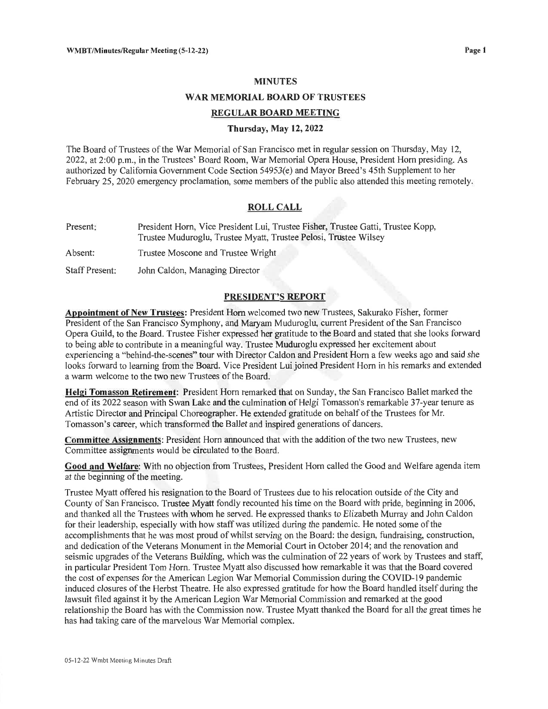#### **MINUTES**

#### **WAR MEMORIAL BOARD OF TRUSTEES**

#### **REGULAR BOARD MEETING**

#### Thursday, May 12, 2022

The Board of Trustees of the War Memorial of San Francisco met in regular session on Thursday, May 12, 2022, at 2:00 p.m., in the Trustees' Board Room, War Memorial Opera House, President Horn presiding. As authorized by California Government Code Section 54953(e) and Mayor Breed's 45th Supplement to her February 25, 2020 emergency proclamation, some members of the public also attended this meeting remotely.

#### **ROLL CALL**

| Present: | President Horn, Vice President Lui, Trustee Fisher, Trustee Gatti, Trustee Kopp,<br>Trustee Muduroglu, Trustee Myatt, Trustee Pelosi, Trustee Wilsey |
|----------|------------------------------------------------------------------------------------------------------------------------------------------------------|
| Absent:  | Trustee Moscone and Trustee Wright                                                                                                                   |

**Staff Present:** John Caldon, Managing Director

#### **PRESIDENT'S REPORT**

Appointment of New Trustees: President Horn welcomed two new Trustees, Sakurako Fisher, former President of the San Francisco Symphony, and Maryam Muduroglu, current President of the San Francisco Opera Guild, to the Board. Trustee Fisher expressed her gratitude to the Board and stated that she looks forward to being able to contribute in a meaningful way. Trustee Muduroglu expressed her excitement about experiencing a "behind-the-scenes" tour with Director Caldon and President Horn a few weeks ago and said she looks forward to learning from the Board. Vice President Lui joined President Horn in his remarks and extended a warm welcome to the two new Trustees of the Board.

Helgi Tomasson Retirement: President Horn remarked that on Sunday, the San Francisco Ballet marked the end of its 2022 season with Swan Lake and the culmination of Helgi Tomasson's remarkable 37-year tenure as Artistic Director and Principal Choreographer. He extended gratitude on behalf of the Trustees for Mr. Tomasson's career, which transformed the Ballet and inspired generations of dancers.

Committee Assignments: President Horn announced that with the addition of the two new Trustees, new Committee assignments would be circulated to the Board.

Good and Welfare: With no objection from Trustees, President Horn called the Good and Welfare agenda item at the beginning of the meeting.

Trustee Myatt offered his resignation to the Board of Trustees due to his relocation outside of the City and County of San Francisco. Trustee Myatt fondly recounted his time on the Board with pride, beginning in 2006, and thanked all the Trustees with whom he served. He expressed thanks to Elizabeth Murray and John Caldon for their leadership, especially with how staff was utilized during the pandemic. He noted some of the accomplishments that he was most proud of whilst serving on the Board: the design, fundraising, construction, and dedication of the Veterans Monument in the Memorial Court in October 2014; and the renovation and seismic upgrades of the Veterans Building, which was the culmination of 22 years of work by Trustees and staff, in particular President Tom Horn. Trustee Myatt also discussed how remarkable it was that the Board covered the cost of expenses for the American Legion War Memorial Commission during the COVID-19 pandemic induced closures of the Herbst Theatre. He also expressed gratitude for how the Board handled itself during the lawsuit filed against it by the American Legion War Memorial Commission and remarked at the good relationship the Board has with the Commission now. Trustee Myatt thanked the Board for all the great times he has had taking care of the marvelous War Memorial complex.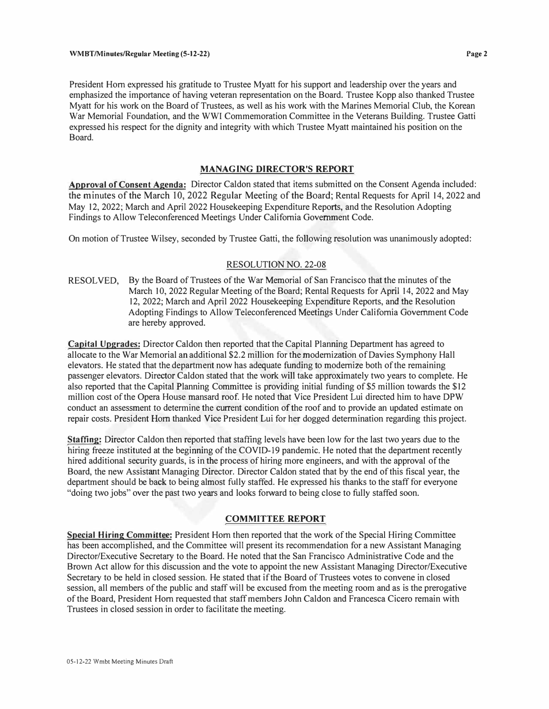President Hom expressed his gratitude to Trustee Myatt for his support and leadership over the years and emphasized the importance of having veteran representation on the Board. Trustee Kopp also thanked Trustee Myatt for his work on the Board of Trustees, as well as his work with the Marines Memorial Club, the Korean War Memorial Foundation, and the WWI Commemoration Committee in the Veterans Building. Trustee Gatti expressed his respect for the dignity and integrity with which Trustee Myatt maintained his position on the Board.

#### **MANAGING DIRECTOR'S REPORT**

**Approval of Consent Agenda:** Director Caldon stated that items submitted on the Consent Agenda included: the minutes of the March 10, 2022 Regular Meeting of the Board; Rental Requests for April 14, 2022 and May 12, 2022; March and April 2022 Housekeeping Expenditure Reports, and the Resolution Adopting Findings to Allow Teleconferenced Meetings Under California Government Code.

On motion of Trustee Wilsey, seconded by Trustee Gatti, the following resolution was unanimously adopted:

#### RESOLUTION NO. 22-08

RESOLVED, By the Board of Trustees of the War Memorial of San Francisco that the minutes of the March 10, 2022 Regular Meeting of the Board; Rental Requests for April 14, 2022 and May 12, 2022; March and April 2022 Housekeeping Expenditure Reports, and the Resolution Adopting Findings to Allow Teleconferenced Meetings Under California Government Code are hereby approved.

**Capital Upgrades:** Director Caldon then reported that the Capital Planning Department has agreed to allocate to the War Memorial an additional \$2.2 million for the modernization of Davies Symphony Hall elevators. He stated that the department now has adequate funding to modernize both of the remaining passenger elevators. Director Caldon stated that the work will take approximately two years to complete. He also reported that the Capital Planning Committee is providing initial funding of\$5 million towards the \$12 million cost of the Opera House mansard roof. He noted that Vice President Lui directed him to have DPW conduct an assessment to determine the current condition of the roof and to provide an updated estimate on repair costs. President Hom thanked Vice President Lui for her dogged determination regarding this project.

**Staffing:** Director Caldon then reported that staffing levels have been low for the last two years due to the hiring freeze instituted at the beginning of the COVID-19 pandemic. He noted that the department recently hired additional security guards, is in the process of hiring more engineers, and with the approval of the Board, the new Assistant Managing Director. Director Caldon stated that by the end of this fiscal year, the department should be back to being almost fully staffed. He expressed his thanks to the staff for everyone "doing two jobs" over the past two years and looks forward to being close to fully staffed soon.

### **COMMITTEE REPORT**

**Special Hiring Committee:** President Hom then reported that the work of the Special Hiring Committee has been accomplished, and the Committee will present its recommendation for a new Assistant Managing Director/Executive Secretary to the Board. He noted that the San Francisco Administrative Code and the Brown Act allow for this discussion and the vote to appoint the new Assistant Managing Director/Executive Secretary to be held in closed session. He stated that if the Board of Trustees votes to convene in closed session, all members of the public and staff will be excused from the meeting room and as is the prerogative of the Board, President Hom requested that staff members John Caldon and Francesca Cicero remain with Trustees in closed session in order to facilitate the meeting.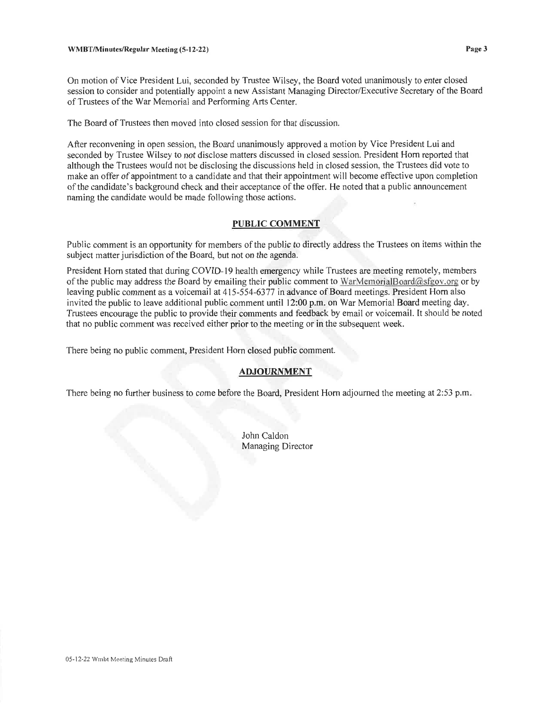On motion of Vice President Lui, seconded by Trustee Wilsey, the Board voted unanimously to enter closed session to consider and potentially appoint a new Assistant Managing Director/Executive Secretary of the Board of Trustees of the War Memorial and Performing Arts Center.

The Board of Trustees then moved into closed session for that discussion.

After reconvening in open session, the Board unanimously approved a motion by Vice President Lui and seconded by Trustee Wilsey to not disclose matters discussed in closed session. President Horn reported that although the Trustees would not be disclosing the discussions held in closed session, the Trustees did vote to make an offer of appointment to a candidate and that their appointment will become effective upon completion of the candidate's background check and their acceptance of the offer. He noted that a public announcement naming the candidate would be made following those actions.

#### **PUBLIC COMMENT**

Public comment is an opportunity for members of the public to directly address the Trustees on items within the subject matter jurisdiction of the Board, but not on the agenda.

President Horn stated that during COVID-19 health emergency while Trustees are meeting remotely, members of the public may address the Board by emailing their public comment to WarMemorialBoard@sfgov.org or by leaving public comment as a voicemail at 415-554-6377 in advance of Board meetings. President Horn also invited the public to leave additional public comment until 12:00 p.m. on War Memorial Board meeting day. Trustees encourage the public to provide their comments and feedback by email or voicemail. It should be noted that no public comment was received either prior to the meeting or in the subsequent week.

There being no public comment, President Horn closed public comment.

#### **ADJOURNMENT**

There being no further business to come before the Board, President Horn adjourned the meeting at 2:53 p.m.

John Caldon **Managing Director**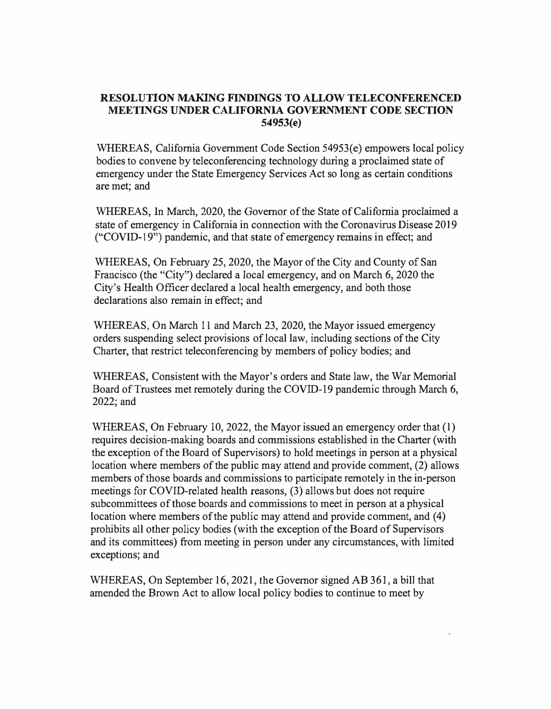## **RESOLUTION MAKING FINDINGS TO ALLOW TELECONFERENCED MEETINGS UNDER CALIFORNIA GOVERNMENT CODE SECTION 54953(e)**

WHEREAS, California Government Code Section 54953(e) empowers local policy bodies to convene by teleconferencing technology during a proclaimed state of emergency under the State Emergency Services Act so long as certain conditions are met; and

WHEREAS, In March, 2020, the Governor of the State of California proclaimed a state of emergency in California in connection with the Coronavirus Disease 2019 ("COVID-19") pandemic, and that state of emergency remains in effect; and

WHEREAS, On February 25, 2020, the Mayor of the City and County of San Francisco (the "City") declared a local emergency, and on March 6, 2020 the City's Health Officer declared a local health emergency, and both those declarations also remain in effect; and

WHEREAS, On March 11 and March 23, 2020, the Mayor issued emergency orders suspending select provisions of local law, including sections of the City Charter, that restrict teleconferencing by members of policy bodies; and

WHEREAS, Consistent with the Mayor's orders and State law, the War Memorial Board of Trustees met remotely during the COVID-19 pandemic through March 6, 2022;and

WHEREAS, On February 10, 2022, the Mayor issued an emergency order that (1) requires decision-making boards and commissions established in the Charter (with the exception of the Board of Supervisors) to hold meetings in person at a physical location where members of the public may attend and provide comment, (2) allows members of those boards and commissions to participate remotely in the in-person meetings for COVID-related health reasons, (3) allows but does not require subcommittees of those boards and commissions to meet in person at a physical location where members of the public may attend and provide comment, and (4) prohibits all other policy bodies (with the exception of the Board of Supervisors and its committees) from meeting in person under any circumstances, with limited exceptions; and

WHEREAS, On September 16, 2021, the Governor signed AB 361, a bill that amended the Brown Act to allow local policy bodies to continue to meet by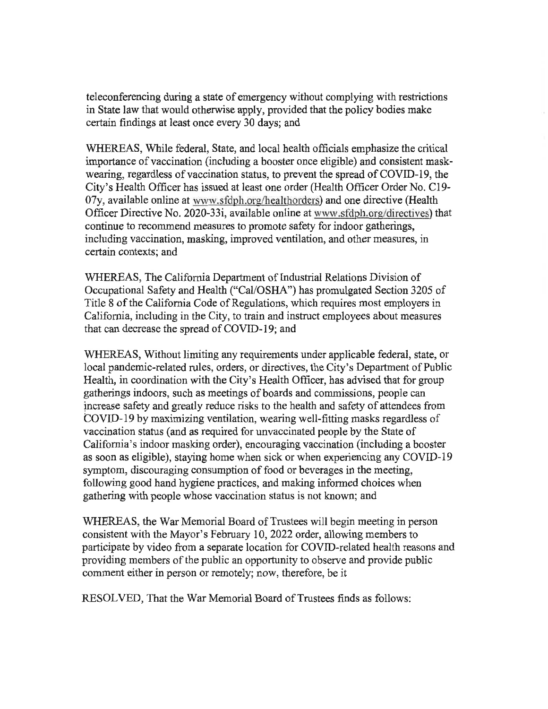teleconferencing during a state of emergency without complying with restrictions in State law that would otherwise apply, provided that the policy bodies make certain findings at least once every 30 days; and

WHEREAS, While federal, State, and local health officials emphasize the critical importance of vaccination (including a booster once eligible) and consistent maskwearing, regardless of vaccination status, to prevent the spread of COVID-19, the City's Health Officer has issued at least one order (Health Officer Order No. C19-07y, available online at www.sfdph.org/healthorders) and one directive (Health Officer Directive No. 2020-331, available online at www.sfdph.org/directives) that continue to recommend measures to promote safety for indoor gatherings, including vaccination, masking, improved ventilation, and other measures, in certain contexts; and

WHEREAS, The California Department of Industrial Relations Division of Occupational Safety and Health ("Cal/OSHA") has promulgated Section 3205 of Title 8 of the California Code of Regulations, which requires most employers in California, including in the City, to train and instruct employees about measures that can decrease the spread of COVID-19; and

WHEREAS, Without limiting any requirements under applicable federal, state, or local pandemic-related rules, orders, or directives, the City's Department of Public Health, in coordination with the City's Health Officer, has advised that for group gatherings indoors, such as meetings of boards and commissions, people can increase safety and greatly reduce risks to the health and safety of attendees from COVID-19 by maximizing ventilation, wearing well-fitting masks regardless of vaccination status (and as required for unvaccinated people by the State of California's indoor masking order), encouraging vaccination (including a booster as soon as eligible), staying home when sick or when experiencing any COVID-19 symptom, discouraging consumption of food or beverages in the meeting. following good hand hygiene practices, and making informed choices when gathering with people whose vaccination status is not known; and

WHEREAS, the War Memorial Board of Trustees will begin meeting in person consistent with the Mayor's February 10, 2022 order, allowing members to participate by video from a separate location for COVID-related health reasons and providing members of the public an opportunity to observe and provide public comment either in person or remotely; now, therefore, be it

RESOLVED, That the War Memorial Board of Trustees finds as follows: